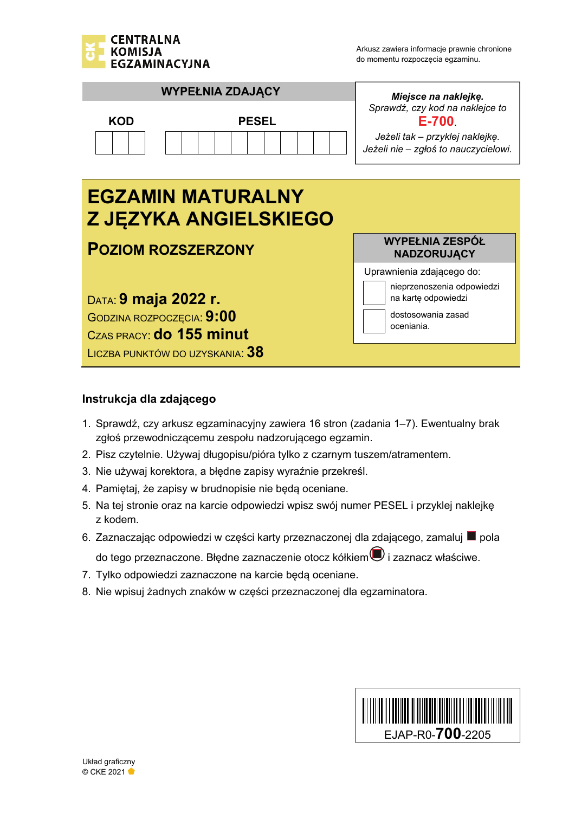

oceniania.



GODZINA ROZPOCZĘCIA: **9:00** 

CZAS PRACY: **do 155 minut**

LICZBA PUNKTÓW DO UZYSKANIA: **38**

## **Instrukcja dla zdającego**

- 1. Sprawdź, czy arkusz egzaminacyjny zawiera 16 stron (zadania 1–7). Ewentualny brak zgłoś przewodniczącemu zespołu nadzorującego egzamin.
- 2. Pisz czytelnie. Używaj długopisu/pióra tylko z czarnym tuszem/atramentem.
- 3. Nie używaj korektora, a błędne zapisy wyraźnie przekreśl.
- 4. Pamiętaj, że zapisy w brudnopisie nie będą oceniane.
- 5. Na tej stronie oraz na karcie odpowiedzi wpisz swój numer PESEL i przyklej naklejkę z kodem.
- 6. Zaznaczając odpowiedzi w części karty przeznaczonej dla zdającego, zamaluj pola
	- do tego przeznaczone. Błędne zaznaczenie otocz kółkiem $\textcircled{\textbf{1}}$  i zaznacz właściwe.
- 7. Tylko odpowiedzi zaznaczone na karcie będą oceniane.
- 8. Nie wpisuj żadnych znaków w części przeznaczonej dla egzaminatora.

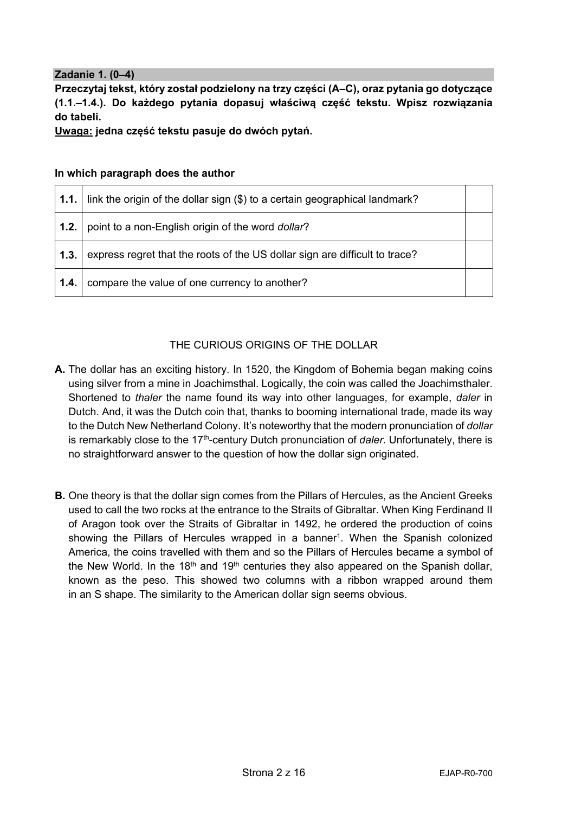## **Zadanie 1. (0–4)**

**Przeczytaj tekst, który został podzielony na trzy części (A–C), oraz pytania go dotyczące (1.1.–1.4.). Do każdego pytania dopasuj właściwą część tekstu. Wpisz rozwiązania do tabeli.** 

**Uwaga: jedna część tekstu pasuje do dwóch pytań.** 

|  |  |  |  | In which paragraph does the author |  |
|--|--|--|--|------------------------------------|--|
|--|--|--|--|------------------------------------|--|

|      | <b>1.1.</b> link the origin of the dollar sign $(\$)$ to a certain geographical landmark? |  |
|------|-------------------------------------------------------------------------------------------|--|
| 1.2. | point to a non-English origin of the word dollar?                                         |  |
| 1.3. | express regret that the roots of the US dollar sign are difficult to trace?               |  |
| 1.4. | compare the value of one currency to another?                                             |  |

## THE CURIOUS ORIGINS OF THE DOLLAR

- **A.** The dollar has an exciting history. In 1520, the Kingdom of Bohemia began making coins using silver from a mine in Joachimsthal. Logically, the coin was called the Joachimsthaler. Shortened to *thaler* the name found its way into other languages, for example, *daler* in Dutch. And, it was the Dutch coin that, thanks to booming international trade, made its way to the Dutch New Netherland Colony. It's noteworthy that the modern pronunciation of *dollar* is remarkably close to the 17th-century Dutch pronunciation of *daler*. Unfortunately, there is no straightforward answer to the question of how the dollar sign originated.
- **B.** One theory is that the dollar sign comes from the Pillars of Hercules, as the Ancient Greeks used to call the two rocks at the entrance to the Straits of Gibraltar. When King Ferdinand II of Aragon took over the Straits of Gibraltar in 1492, he ordered the production of coins showing the Pillars of Hercules wrapped in a banner<sup>1</sup>. When the Spanish colonized America, the coins travelled with them and so the Pillars of Hercules became a symbol of the New World. In the 18<sup>th</sup> and 19<sup>th</sup> centuries they also appeared on the Spanish dollar, known as the peso. This showed two columns with a ribbon wrapped around them in an S shape. The similarity to the American dollar sign seems obvious.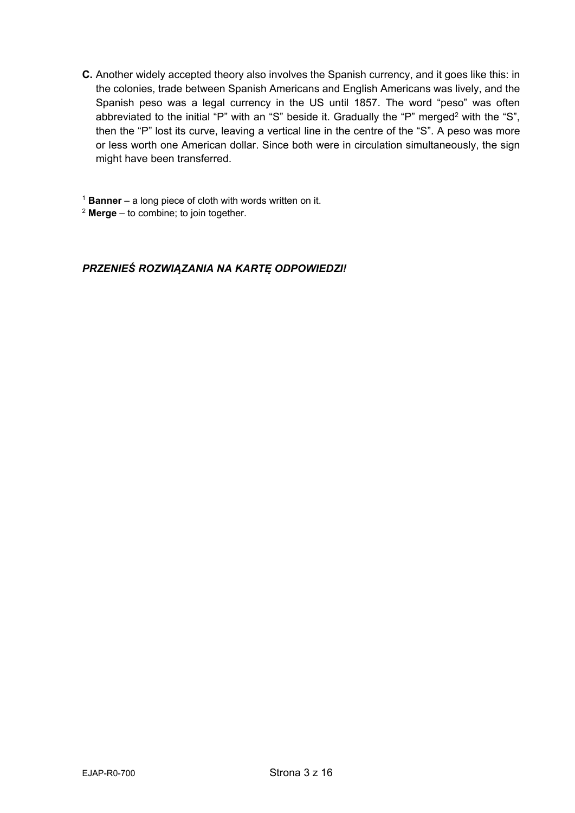C. Another widely accepted theory also involves the Spanish currency, and it goes like this: in the colonies, trade between Spanish Americans and English Americans was lively, and the Spanish peso was a legal currency in the US until 1857. The word "peso" was often abbreviated to the initial "P" with an "S" beside it. Gradually the "P" merged<sup>2</sup> with the "S", then the "P" lost its curve, leaving a vertical line in the centre of the "S". A peso was more or less worth one American dollar. Since both were in circulation simultaneously, the sign might have been transferred.

 $1$  Banner – a long piece of cloth with words written on it.

 $2$  Merge – to combine; to join together.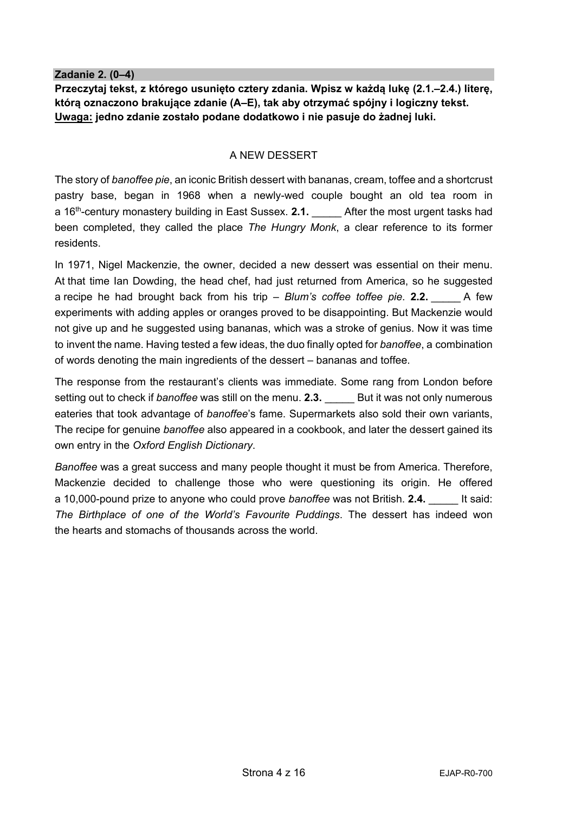#### **Zadanie 2. (0–4)**

**Przeczytaj tekst, z którego usunięto cztery zdania. Wpisz w każdą lukę (2.1.–2.4.) literę, którą oznaczono brakujące zdanie (A–E), tak aby otrzymać spójny i logiczny tekst. Uwaga: jedno zdanie zostało podane dodatkowo i nie pasuje do żadnej luki.** 

### A NEW DESSERT

The story of *banoffee pie*, an iconic British dessert with bananas, cream, toffee and a shortcrust pastry base, began in 1968 when a newly-wed couple bought an old tea room in a 16<sup>th</sup>-century monastery building in East Sussex. 2.1. After the most urgent tasks had been completed, they called the place *The Hungry Monk*, a clear reference to its former residents.

In 1971, Nigel Mackenzie, the owner, decided a new dessert was essential on their menu. At that time Ian Dowding, the head chef, had just returned from America, so he suggested a recipe he had brought back from his trip – *Blum's coffee toffee pie*. **2.2.** \_\_\_\_\_ A few experiments with adding apples or oranges proved to be disappointing. But Mackenzie would not give up and he suggested using bananas, which was a stroke of genius. Now it was time to invent the name. Having tested a few ideas, the duo finally opted for *banoffee*, a combination of words denoting the main ingredients of the dessert – bananas and toffee.

The response from the restaurant's clients was immediate. Some rang from London before setting out to check if *banoffee* was still on the menu. **2.3.** \_\_\_\_\_\_ But it was not only numerous eateries that took advantage of *banoffee*'s fame. Supermarkets also sold their own variants, The recipe for genuine *banoffee* also appeared in a cookbook, and later the dessert gained its own entry in the *Oxford English Dictionary*.

*Banoffee* was a great success and many people thought it must be from America. Therefore, Mackenzie decided to challenge those who were questioning its origin. He offered a 10,000-pound prize to anyone who could prove *banoffee* was not British. **2.4.** \_\_\_\_\_ It said: *The Birthplace of one of the World's Favourite Puddings*. The dessert has indeed won the hearts and stomachs of thousands across the world.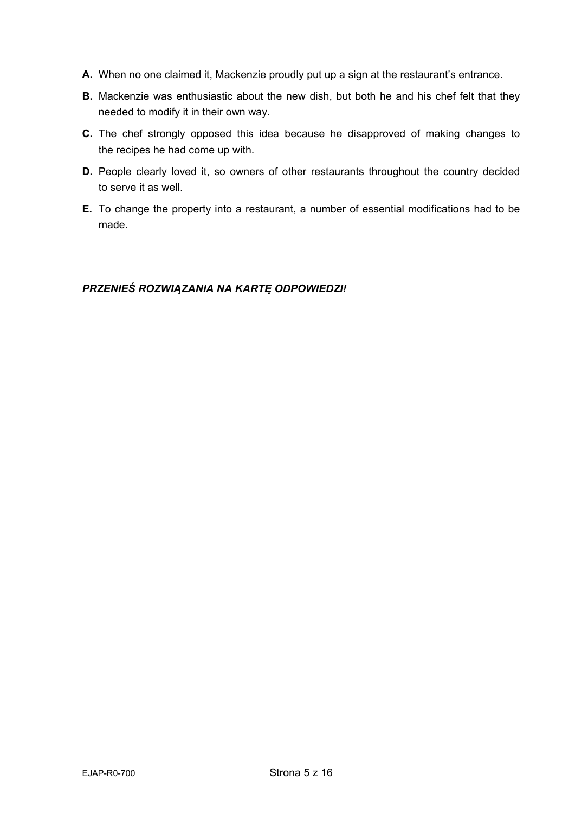- **A.** When no one claimed it, Mackenzie proudly put up a sign at the restaurant's entrance.
- **B.** Mackenzie was enthusiastic about the new dish, but both he and his chef felt that they needed to modify it in their own way.
- **C.** The chef strongly opposed this idea because he disapproved of making changes to the recipes he had come up with.
- **D.** People clearly loved it, so owners of other restaurants throughout the country decided to serve it as well.
- **E.** To change the property into a restaurant, a number of essential modifications had to be made.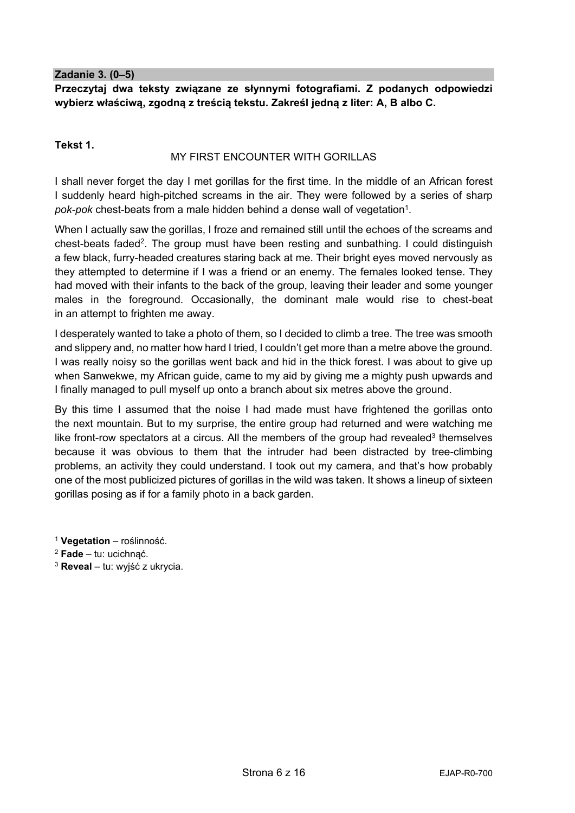**Zadanie 3. (0–5)** 

**Przeczytaj dwa teksty związane ze słynnymi fotografiami. Z podanych odpowiedzi wybierz właściwą, zgodną z treścią tekstu. Zakreśl jedną z liter: A, B albo C.** 

#### **Tekst 1.**

#### MY FIRST ENCOUNTER WITH GORILLAS

I shall never forget the day I met gorillas for the first time. In the middle of an African forest I suddenly heard high-pitched screams in the air. They were followed by a series of sharp pok-pok chest-beats from a male hidden behind a dense wall of vegetation<sup>1</sup>.

When I actually saw the gorillas, I froze and remained still until the echoes of the screams and chest-beats faded2. The group must have been resting and sunbathing. I could distinguish a few black, furry-headed creatures staring back at me. Their bright eyes moved nervously as they attempted to determine if I was a friend or an enemy. The females looked tense. They had moved with their infants to the back of the group, leaving their leader and some younger males in the foreground. Occasionally, the dominant male would rise to chest-beat in an attempt to frighten me away.

I desperately wanted to take a photo of them, so I decided to climb a tree. The tree was smooth and slippery and, no matter how hard I tried, I couldn't get more than a metre above the ground. I was really noisy so the gorillas went back and hid in the thick forest. I was about to give up when Sanwekwe, my African guide, came to my aid by giving me a mighty push upwards and I finally managed to pull myself up onto a branch about six metres above the ground.

By this time I assumed that the noise I had made must have frightened the gorillas onto the next mountain. But to my surprise, the entire group had returned and were watching me like front-row spectators at a circus. All the members of the group had revealed<sup>3</sup> themselves because it was obvious to them that the intruder had been distracted by tree-climbing problems, an activity they could understand. I took out my camera, and that's how probably one of the most publicized pictures of gorillas in the wild was taken. It shows a lineup of sixteen gorillas posing as if for a family photo in a back garden.

<sup>1</sup> **Vegetation** – roślinność.

<sup>3</sup> **Reveal** – tu: wyjść z ukrycia.

<sup>2</sup> **Fade** – tu: ucichnąć.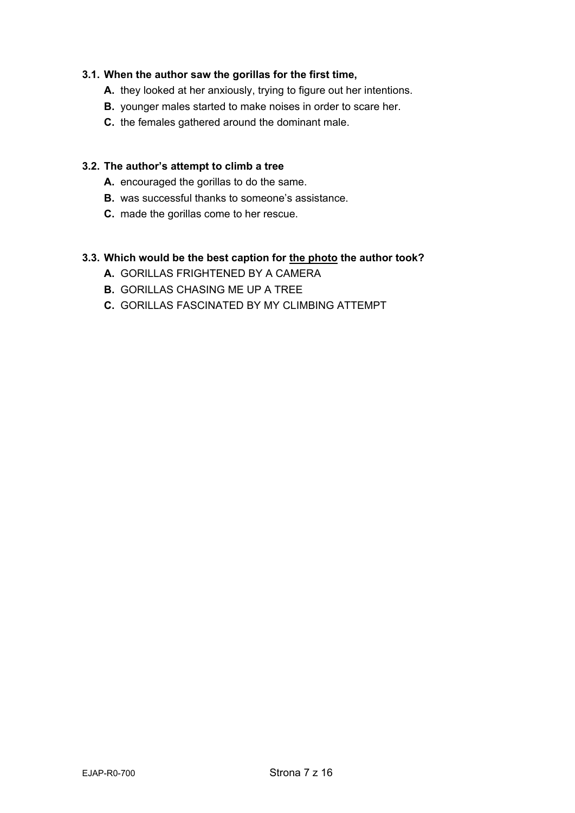### **3.1. When the author saw the gorillas for the first time,**

- **A.** they looked at her anxiously, trying to figure out her intentions.
- **B.** younger males started to make noises in order to scare her.
- **C.** the females gathered around the dominant male.

#### **3.2. The author's attempt to climb a tree**

- **A.** encouraged the gorillas to do the same.
- **B.** was successful thanks to someone's assistance.
- **C.** made the gorillas come to her rescue.

#### **3.3. Which would be the best caption for the photo the author took?**

- **A.** GORILLAS FRIGHTENED BY A CAMERA
- **B.** GORILLAS CHASING ME UP A TREE
- **C.** GORILLAS FASCINATED BY MY CLIMBING ATTEMPT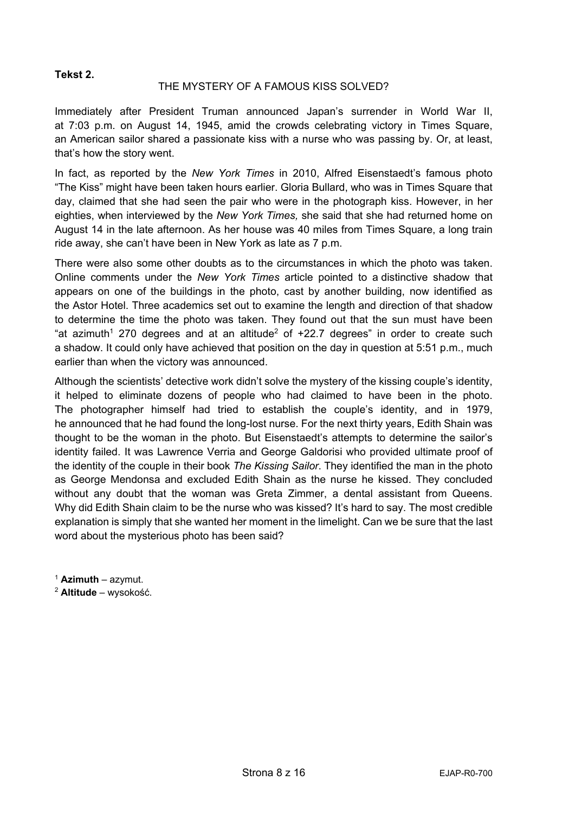#### **Tekst 2.**

#### THE MYSTERY OF A FAMOUS KISS SOLVED?

Immediately after President Truman announced Japan's surrender in World War II, at 7:03 p.m. on August 14, 1945, amid the crowds celebrating victory in Times Square, an American sailor shared a passionate kiss with a nurse who was passing by. Or, at least, that's how the story went.

In fact, as reported by the *New York Times* in 2010, Alfred Eisenstaedt's famous photo "The Kiss" might have been taken hours earlier. Gloria Bullard, who was in Times Square that day, claimed that she had seen the pair who were in the photograph kiss. However, in her eighties, when interviewed by the *New York Times,* she said that she had returned home on August 14 in the late afternoon. As her house was 40 miles from Times Square, a long train ride away, she can't have been in New York as late as 7 p.m.

There were also some other doubts as to the circumstances in which the photo was taken. Online comments under the *New York Times* article pointed to a distinctive shadow that appears on one of the buildings in the photo, cast by another building, now identified as the Astor Hotel. Three academics set out to examine the length and direction of that shadow to determine the time the photo was taken. They found out that the sun must have been "at azimuth<sup>1</sup> 270 degrees and at an altitude<sup>2</sup> of  $+22.7$  degrees" in order to create such a shadow. It could only have achieved that position on the day in question at 5:51 p.m., much earlier than when the victory was announced.

Although the scientists' detective work didn't solve the mystery of the kissing couple's identity, it helped to eliminate dozens of people who had claimed to have been in the photo. The photographer himself had tried to establish the couple's identity, and in 1979, he announced that he had found the long-lost nurse. For the next thirty years, Edith Shain was thought to be the woman in the photo. But Eisenstaedt's attempts to determine the sailor's identity failed. It was Lawrence Verria and George Galdorisi who provided ultimate proof of the identity of the couple in their book *The Kissing Sailor*. They identified the man in the photo as George Mendonsa and excluded Edith Shain as the nurse he kissed. They concluded without any doubt that the woman was Greta Zimmer, a dental assistant from Queens. Why did Edith Shain claim to be the nurse who was kissed? It's hard to say. The most credible explanation is simply that she wanted her moment in the limelight. Can we be sure that the last word about the mysterious photo has been said?

<sup>1</sup> **Azimuth** – azymut.

<sup>2</sup> **Altitude** – wysokość.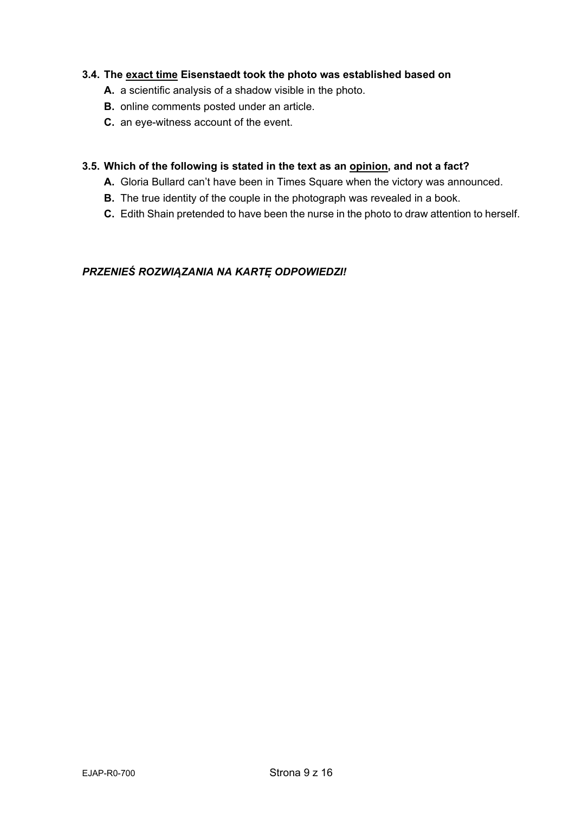## **3.4. The exact time Eisenstaedt took the photo was established based on**

- **A.** a scientific analysis of a shadow visible in the photo.
- **B.** online comments posted under an article.
- **C.** an eye-witness account of the event.

#### **3.5. Which of the following is stated in the text as an opinion, and not a fact?**

- **A.** Gloria Bullard can't have been in Times Square when the victory was announced.
- **B.** The true identity of the couple in the photograph was revealed in a book.
- **C.** Edith Shain pretended to have been the nurse in the photo to draw attention to herself.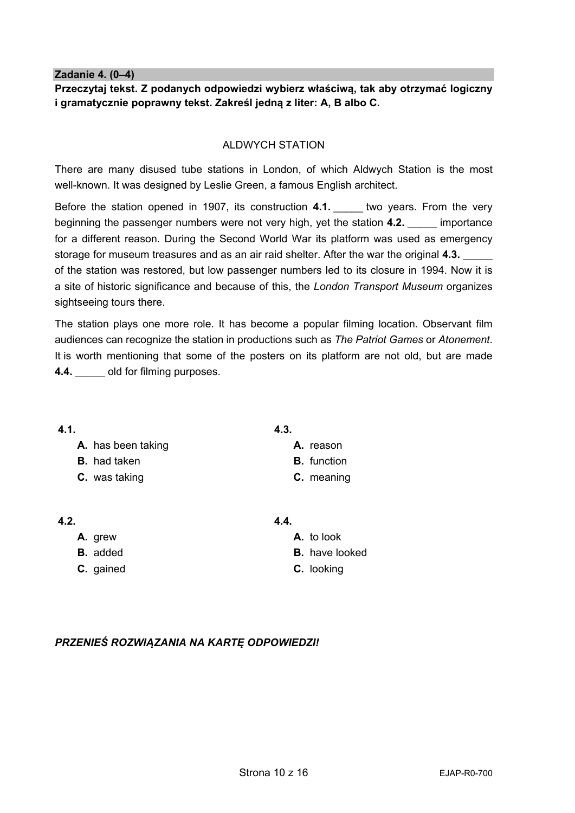**Zadanie 4. (0–4)**

**Przeczytaj tekst. Z podanych odpowiedzi wybierz właściwą, tak aby otrzymać logiczny i gramatycznie poprawny tekst. Zakreśl jedną z liter: A, B albo C.** 

#### ALDWYCH STATION

There are many disused tube stations in London, of which Aldwych Station is the most well-known. It was designed by Leslie Green, a famous English architect.

Before the station opened in 1907, its construction 4.1. **Lacktury wears. From the very** beginning the passenger numbers were not very high, yet the station 4.2. **Example 1** importance for a different reason. During the Second World War its platform was used as emergency storage for museum treasures and as an air raid shelter. After the war the original **4.3.** \_\_\_\_\_ of the station was restored, but low passenger numbers led to its closure in 1994. Now it is a site of historic significance and because of this, the *London Transport Museum* organizes sightseeing tours there.

The station plays one more role. It has become a popular filming location. Observant film audiences can recognize the station in productions such as *The Patriot Games* or *Atonement*. It is worth mentioning that some of the posters on its platform are not old, but are made **4.4.** old for filming purposes.

| 4.3.               |
|--------------------|
| A. reason          |
| <b>B.</b> function |
| C. meaning         |
|                    |

| 4.2. |         |  |
|------|---------|--|
|      | A. grew |  |

- **B.** added
- **C.** gained

## **4.4.**

**A.** to look **B.** have looked **C.** looking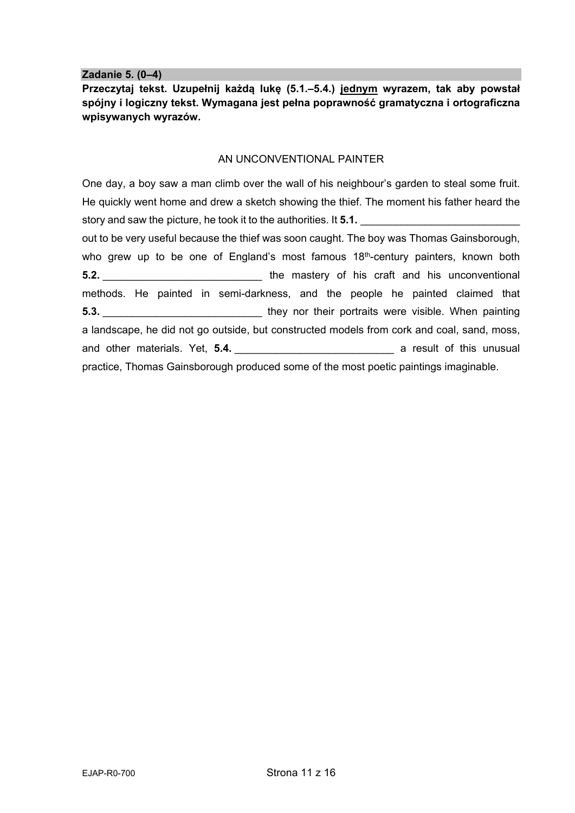**Zadanie 5. (0–4)** 

**Przeczytaj tekst. Uzupełnij każdą lukę (5.1.–5.4.) jednym wyrazem, tak aby powstał spójny i logiczny tekst. Wymagana jest pełna poprawność gramatyczna i ortograficzna wpisywanych wyrazów.**

#### AN UNCONVENTIONAL PAINTER

One day, a boy saw a man climb over the wall of his neighbour's garden to steal some fruit. He quickly went home and drew a sketch showing the thief. The moment his father heard the story and saw the picture, he took it to the authorities. It **5.1.** out to be very useful because the thief was soon caught. The boy was Thomas Gainsborough,

who grew up to be one of England's most famous  $18<sup>th</sup>$ -century painters, known both **5.2. 5.2. Example 1.1 1.1 1.1 1.1 1.1 1.1 1.1 1.1 1.1 1.1 1.1 1.1 1.1 1.1 1.1 1.1 1.1 1.1 1.1 1.1 1.1 1.1 1.1 1.1 1.1 1.1 1.1 1.1 1.1 1.1 1.1 1.1 1.1 1** methods. He painted in semi-darkness, and the people he painted claimed that **5.3.** \_\_\_\_\_\_\_\_\_\_\_\_\_\_\_\_\_\_\_\_\_\_\_\_\_\_\_ they nor their portraits were visible. When painting a landscape, he did not go outside, but constructed models from cork and coal, sand, moss, and other materials. Yet, **5.4. Example 20 a result of this unusual** practice, Thomas Gainsborough produced some of the most poetic paintings imaginable.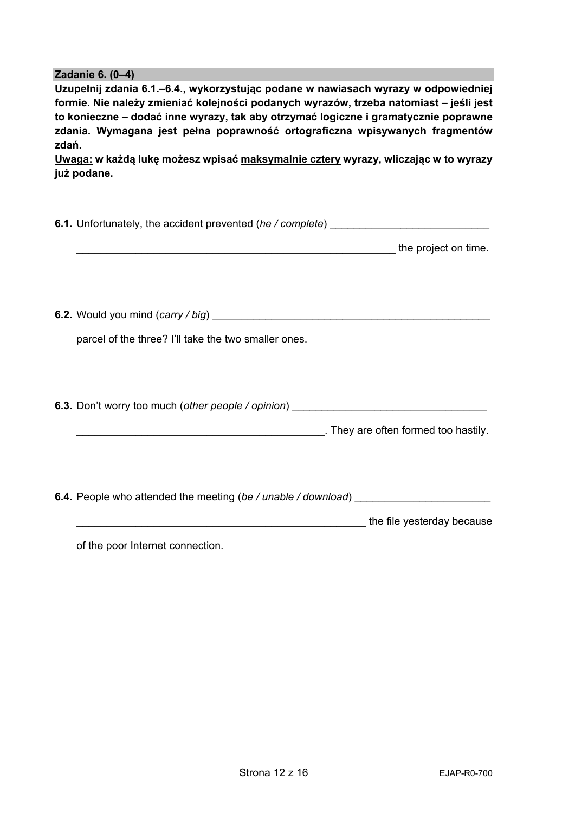#### **Zadanie 6. (0–4)**

**Uzupełnij zdania 6.1.–6.4., wykorzystując podane w nawiasach wyrazy w odpowiedniej formie. Nie należy zmieniać kolejności podanych wyrazów, trzeba natomiast – jeśli jest to konieczne – dodać inne wyrazy, tak aby otrzymać logiczne i gramatycznie poprawne zdania. Wymagana jest pełna poprawność ortograficzna wpisywanych fragmentów zdań.** 

**Uwaga: w każdą lukę możesz wpisać maksymalnie cztery wyrazy, wliczając w to wyrazy już podane.** 

| 6.1. Unfortunately, the accident prevented (he / complete) _____________________       |  |  |  |  |  |  |  |
|----------------------------------------------------------------------------------------|--|--|--|--|--|--|--|
|                                                                                        |  |  |  |  |  |  |  |
|                                                                                        |  |  |  |  |  |  |  |
|                                                                                        |  |  |  |  |  |  |  |
|                                                                                        |  |  |  |  |  |  |  |
| parcel of the three? I'll take the two smaller ones.                                   |  |  |  |  |  |  |  |
|                                                                                        |  |  |  |  |  |  |  |
|                                                                                        |  |  |  |  |  |  |  |
| 6.3. Don't worry too much (other people / opinion) _____________________________       |  |  |  |  |  |  |  |
|                                                                                        |  |  |  |  |  |  |  |
|                                                                                        |  |  |  |  |  |  |  |
|                                                                                        |  |  |  |  |  |  |  |
| <b>6.4.</b> People who attended the meeting (be / unable / download) _________________ |  |  |  |  |  |  |  |
| the file yesterday because the file of the file yesterday because                      |  |  |  |  |  |  |  |
|                                                                                        |  |  |  |  |  |  |  |

of the poor Internet connection.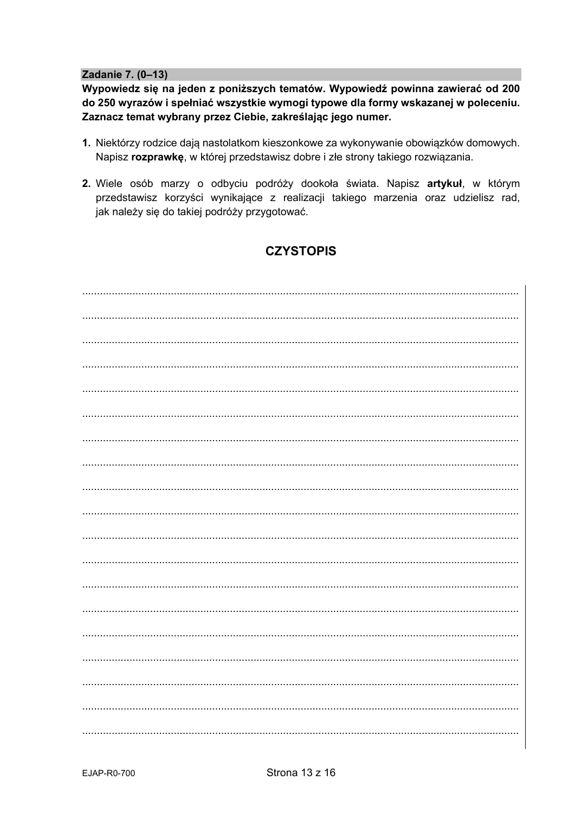Zadanie 7. (0-13)

Wypowiedz się na jeden z poniższych tematów. Wypowiedź powinna zawierać od 200 do 250 wyrazów i spełniać wszystkie wymogi typowe dla formy wskazanej w poleceniu. Zaznacz temat wybrany przez Ciebie, zakreślając jego numer.

- 1. Niektórzy rodzice dają nastolatkom kieszonkowe za wykonywanie obowiązków domowych. Napisz rozprawkę, w której przedstawisz dobre i złe strony takiego rozwiązania.
- 2. Wiele osób marzy o odbyciu podróży dookoła świata. Napisz artykuł, w którym przedstawisz korzyści wynikające z realizacji takiego marzenia oraz udzielisz rad, jak należy się do takiej podróży przygotować.

# **CZYSTOPIS**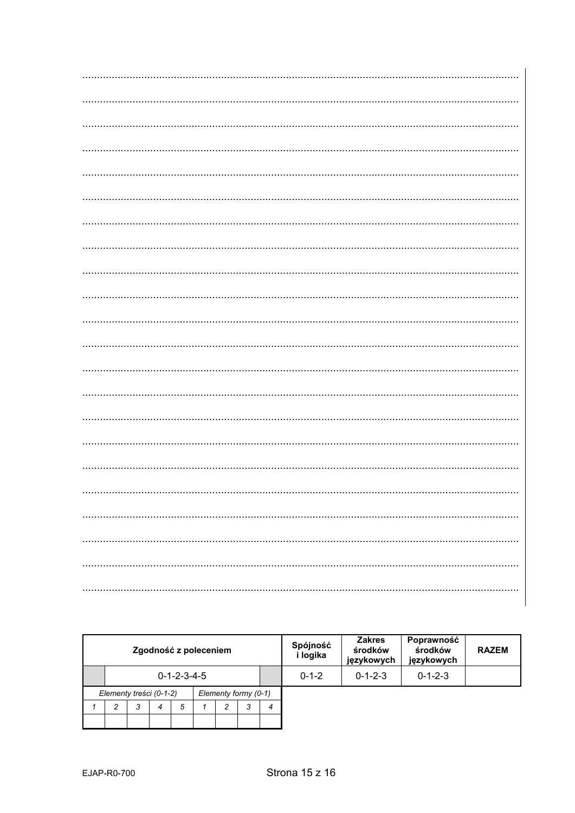| Zgodność z poleceniem                           |                         |   |                |   |  |   |   |   | Spójność<br>i logika | <b>Zakres</b><br>środków<br>językowych | Poprawność<br>środków<br>językowych | <b>RAZEM</b> |
|-------------------------------------------------|-------------------------|---|----------------|---|--|---|---|---|----------------------|----------------------------------------|-------------------------------------|--------------|
|                                                 | $0 - 1 - 2 - 3 - 4 - 5$ |   |                |   |  |   |   |   | $0 - 1 - 2$          | $0 - 1 - 2 - 3$                        | $0 - 1 - 2 - 3$                     |              |
| Elementy formy (0-1)<br>Elementy treści (0-1-2) |                         |   |                |   |  |   |   |   |                      |                                        |                                     |              |
|                                                 | 2                       | 3 | $\overline{4}$ | 5 |  | 2 | 3 | 4 |                      |                                        |                                     |              |
|                                                 |                         |   |                |   |  |   |   |   |                      |                                        |                                     |              |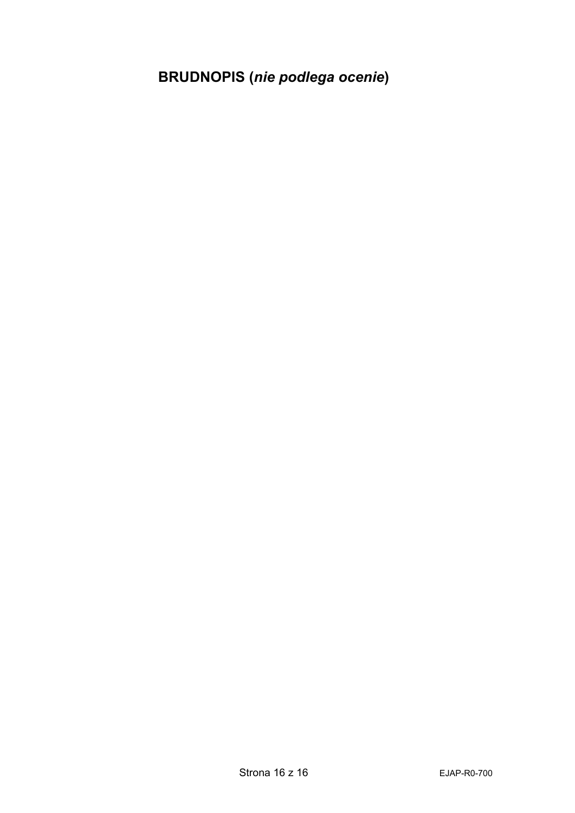**BRUDNOPIS (***nie podlega ocenie***)**